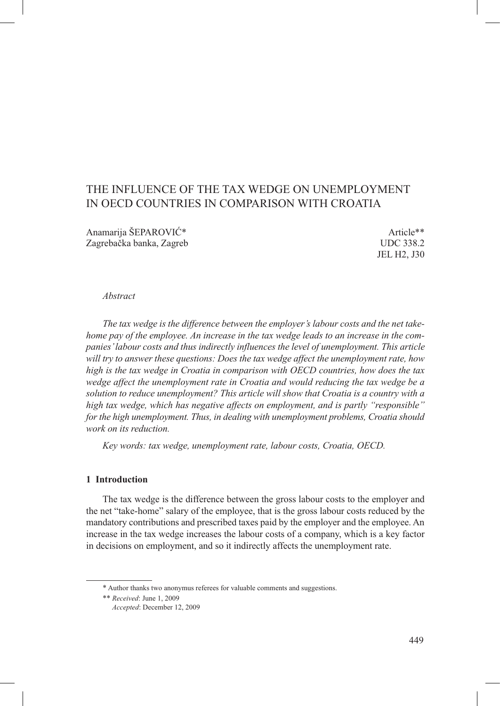# THE INFLUENCE OF THE TAX WEDGE ON UNEMPLOYMENT IN OECD COUNTRIES IN COMPARISON WITH CROATIA

Anamarija ŠEPAROVIĆ\* Article\*\* Article\*\* Zagrebačka banka, Zagreb UDC 338.2

JEL H2, J30

#### *Abstract*

*The tax wedge is the difference between the employer's labour costs and the net takehome pay of the employee. An increase in the tax wedge leads to an increase in the companies' labour costs and thus indirectly influences the level of unemployment. This article will try to answer these questions: Does the tax wedge affect the unemployment rate, how high is the tax wedge in Croatia in comparison with OECD countries, how does the tax wedge affect the unemployment rate in Croatia and would reducing the tax wedge be a solution to reduce unemployment? This article will show that Croatia is a country with a high tax wedge, which has negative affects on employment, and is partly "responsible" for the high unemployment. Thus, in dealing with unemployment problems, Croatia should work on its reduction.*

*Key words: tax wedge, unemployment rate, labour costs, Croatia, OECD.*

### **1 Introduction**

The tax wedge is the difference between the gross labour costs to the employer and the net "take-home" salary of the employee, that is the gross labour costs reduced by the mandatory contributions and prescribed taxes paid by the employer and the employee. An increase in the tax wedge increases the labour costs of a company, which is a key factor in decisions on employment, and so it indirectly affects the unemployment rate.

<sup>\*</sup> Author thanks two anonymus referees for valuable comments and suggestions.

<sup>\*\*</sup> *Received*: June 1, 2009 *Accepted*: December 12, 2009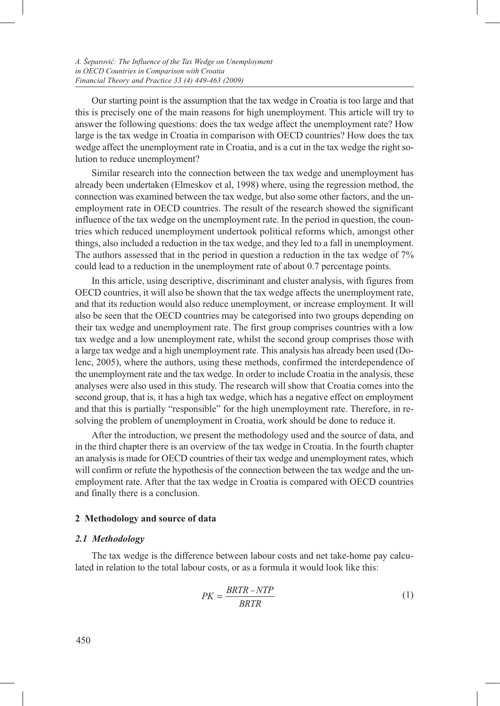Our starting point is the assumption that the tax wedge in Croatia is too large and that this is precisely one of the main reasons for high unemployment. This article will try to answer the following questions: does the tax wedge affect the unemployment rate? How large is the tax wedge in Croatia in comparison with OECD countries? How does the tax wedge affect the unemployment rate in Croatia, and is a cut in the tax wedge the right solution to reduce unemployment?

Similar research into the connection between the tax wedge and unemployment has already been undertaken (Elmeskov et al, 1998) where, using the regression method, the connection was examined between the tax wedge, but also some other factors, and the unemployment rate in OECD countries. The result of the research showed the significant influence of the tax wedge on the unemployment rate. In the period in question, the countries which reduced unemployment undertook political reforms which, amongst other things, also included a reduction in the tax wedge, and they led to a fall in unemployment. The authors assessed that in the period in question a reduction in the tax wedge of 7% could lead to a reduction in the unemployment rate of about 0.7 percentage points.

In this article, using descriptive, discriminant and cluster analysis, with figures from OECD countries, it will also be shown that the tax wedge affects the unemployment rate, and that its reduction would also reduce unemployment, or increase employment. It will also be seen that the OECD countries may be categorised into two groups depending on their tax wedge and unemployment rate. The first group comprises countries with a low tax wedge and a low unemployment rate, whilst the second group comprises those with a large tax wedge and a high unemployment rate. This analysis has already been used (Dolenc, 2005), where the authors, using these methods, confirmed the interdependence of the unemployment rate and the tax wedge. In order to include Croatia in the analysis, these analyses were also used in this study. The research will show that Croatia comes into the second group, that is, it has a high tax wedge, which has a negative effect on employment and that this is partially "responsible" for the high unemployment rate. Therefore, in resolving the problem of unemployment in Croatia, work should be done to reduce it.

After the introduction, we present the methodology used and the source of data, and in the third chapter there is an overview of the tax wedge in Croatia. In the fourth chapter an analysis is made for OECD countries of their tax wedge and unemployment rates, which will confirm or refute the hypothesis of the connection between the tax wedge and the unemployment rate. After that the tax wedge in Croatia is compared with OECD countries and finally there is a conclusion.

#### **2 Methodology and source of data**

#### *2.1 Methodology*

The tax wedge is the difference between labour costs and net take-home pay calculated in relation to the total labour costs, or as a formula it would look like this:

$$
PK = \frac{BRTR - NTP}{BRTR} \tag{1}
$$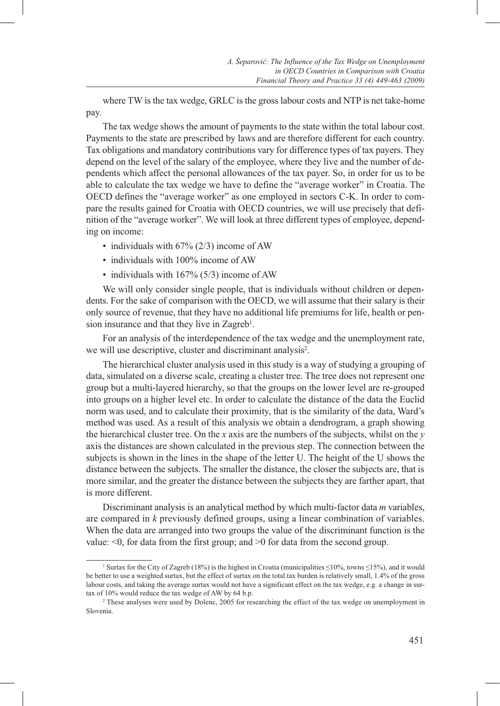where TW is the tax wedge, GRLC is the gross labour costs and NTP is net take-home pay.

The tax wedge shows the amount of payments to the state within the total labour cost. Payments to the state are prescribed by laws and are therefore different for each country. Tax obligations and mandatory contributions vary for difference types of tax payers. They depend on the level of the salary of the employee, where they live and the number of dependents which affect the personal allowances of the tax payer. So, in order for us to be able to calculate the tax wedge we have to define the "average worker" in Croatia. The OECD defines the "average worker" as one employed in sectors C-K. In order to compare the results gained for Croatia with OECD countries, we will use precisely that definition of the "average worker". We will look at three different types of employee, depending on income:

- individuals with 67% (2/3) income of AW
- individuals with 100% income of AW
- individuals with 167% (5/3) income of AW

We will only consider single people, that is individuals without children or dependents. For the sake of comparison with the OECD, we will assume that their salary is their only source of revenue, that they have no additional life premiums for life, health or pension insurance and that they live in Zagreb<sup>1</sup>.

For an analysis of the interdependence of the tax wedge and the unemployment rate, we will use descriptive, cluster and discriminant analysis<sup>2</sup>.

The hierarchical cluster analysis used in this study is a way of studying a grouping of data, simulated on a diverse scale, creating a cluster tree. The tree does not represent one group but a multi-layered hierarchy, so that the groups on the lower level are re-grouped into groups on a higher level etc. In order to calculate the distance of the data the Euclid norm was used, and to calculate their proximity, that is the similarity of the data, Ward's method was used. As a result of this analysis we obtain a dendrogram, a graph showing the hierarchical cluster tree. On the *x* axis are the numbers of the subjects, whilst on the *y*  axis the distances are shown calculated in the previous step. The connection between the subjects is shown in the lines in the shape of the letter U. The height of the U shows the distance between the subjects. The smaller the distance, the closer the subjects are, that is more similar, and the greater the distance between the subjects they are farther apart, that is more different.

Discriminant analysis is an analytical method by which multi-factor data *m* variables, are compared in *k* previously defined groups, using a linear combination of variables. When the data are arranged into two groups the value of the discriminant function is the value: <0, for data from the first group; and >0 for data from the second group.

<sup>&</sup>lt;sup>1</sup> Surtax for the City of Zagreb (18%) is the highest in Croatia (municipalities  $\leq$ 10%, towns  $\leq$ 15%), and it would be better to use a weighted surtax, but the effect of surtax on the total tax burden is relatively small, 1.4% of the gross labour costs, and taking the average surtax would not have a significant effect on the tax wedge, e.g. a change in surtax of 10% would reduce the tax wedge of AW by 64 b.p.<br><sup>2</sup> These analyses were used by Dolenc, 2005 for researching the effect of the tax wedge on unemployment in

Slovenia.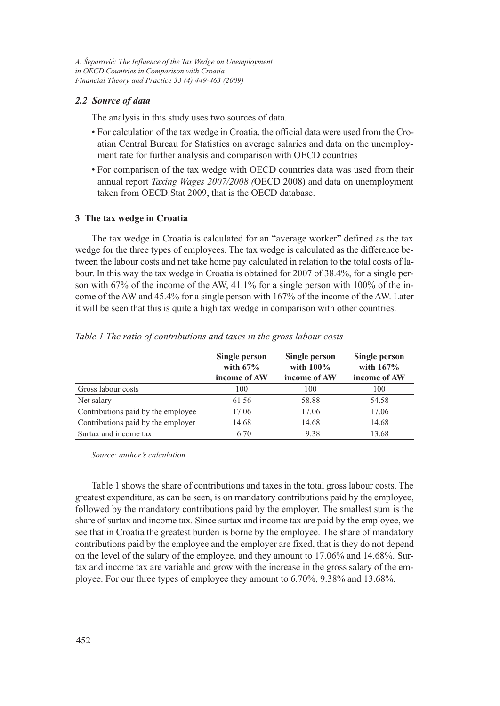## *2.2 Source of data*

The analysis in this study uses two sources of data.

- For calculation of the tax wedge in Croatia, the official data were used from the Croatian Central Bureau for Statistics on average salaries and data on the unemployment rate for further analysis and comparison with OECD countries
- For comparison of the tax wedge with OECD countries data was used from their annual report *Taxing Wages 2007/2008 (*OECD 2008) and data on unemployment taken from OECD.Stat 2009, that is the OECD database.

#### **3 The tax wedge in Croatia**

The tax wedge in Croatia is calculated for an "average worker" defined as the tax wedge for the three types of employees. The tax wedge is calculated as the difference between the labour costs and net take home pay calculated in relation to the total costs of labour. In this way the tax wedge in Croatia is obtained for 2007 of 38.4%, for a single person with 67% of the income of the AW, 41.1% for a single person with 100% of the income of the AW and 45.4% for a single person with 167% of the income of the AW. Later it will be seen that this is quite a high tax wedge in comparison with other countries.

|                                    | Single person<br>with $67\%$ | Single person<br>with $100\%$ | Single person<br>with $167%$ |
|------------------------------------|------------------------------|-------------------------------|------------------------------|
|                                    | income of AW                 | income of AW                  | income of AW                 |
| Gross labour costs                 | 100                          | 100                           | 100                          |
| Net salary                         | 61.56                        | 58.88                         | 54.58                        |
| Contributions paid by the employee | 17.06                        | 17.06                         | 17.06                        |
| Contributions paid by the employer | 14.68                        | 14.68                         | 14.68                        |
| Surtax and income tax              | 6.70                         | 9.38                          | 13.68                        |

*Table 1 The ratio of contributions and taxes in the gross labour costs*

*Source: author's calculation* 

Table 1 shows the share of contributions and taxes in the total gross labour costs. The greatest expenditure, as can be seen, is on mandatory contributions paid by the employee, followed by the mandatory contributions paid by the employer. The smallest sum is the share of surtax and income tax. Since surtax and income tax are paid by the employee, we see that in Croatia the greatest burden is borne by the employee. The share of mandatory contributions paid by the employee and the employer are fixed, that is they do not depend on the level of the salary of the employee, and they amount to 17.06% and 14.68%. Surtax and income tax are variable and grow with the increase in the gross salary of the employee. For our three types of employee they amount to 6.70%, 9.38% and 13.68%.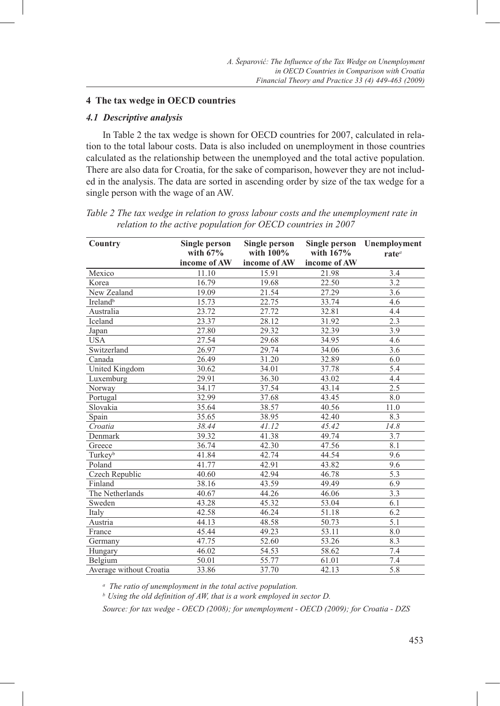### **4 The tax wedge in OECD countries**

### *4.1 Descriptive analysis*

In Table 2 the tax wedge is shown for OECD countries for 2007, calculated in relation to the total labour costs. Data is also included on unemployment in those countries calculated as the relationship between the unemployed and the total active population. There are also data for Croatia, for the sake of comparison, however they are not included in the analysis. The data are sorted in ascending order by size of the tax wedge for a single person with the wage of an AW.

| Country                 | <b>Single person</b><br>with $67%$ | <b>Single person</b><br>with $100\%$ | Single person<br>with 167% | Unemployment<br>rate <sup>a</sup> |  |
|-------------------------|------------------------------------|--------------------------------------|----------------------------|-----------------------------------|--|
|                         | income of AW                       | income of AW                         | income of AW               |                                   |  |
| Mexico                  | 11.10                              | 15.91                                | 21.98                      | $\overline{3.4}$                  |  |
| Korea                   | 16.79                              | 19.68                                | 22.50                      | 3.2                               |  |
| New Zealand             | 19.09                              | 21.54                                | 27.29                      | 3.6                               |  |
| Ireland <sup>b</sup>    | 15.73                              | 22.75                                | 33.74                      | 4.6                               |  |
| Australia               | 23.72                              | 27.72                                | 32.81                      | 4.4                               |  |
| Iceland                 | 23.37                              | 28.12                                | 31.92                      | 2.3                               |  |
| Japan                   | 27.80                              | 29.32                                | 32.39                      | 3.9                               |  |
| <b>USA</b>              | 27.54                              | 29.68                                | 34.95                      | 4.6                               |  |
| Switzerland             | 26.97                              | 29.74                                | 34.06                      | 3.6                               |  |
| Canada                  | 26.49                              | 31.20                                | 32.89                      | 6.0                               |  |
| United Kingdom          | 30.62                              | 34.01                                | 37.78                      | 5.4                               |  |
| Luxemburg               | 29.91                              | 36.30                                | 43.02                      | 4.4                               |  |
| Norway                  | 34.17                              | 37.54                                | 43.14                      | 2.5                               |  |
| Portugal                | 32.99                              | 37.68                                | 43.45                      | 8.0                               |  |
| Slovakia                | 35.64                              | 38.57                                | 40.56                      | 11.0                              |  |
| Spain                   | 35.65                              | 38.95                                | 42.40                      | 8.3                               |  |
| Croatia                 | 38.44                              | 41.12                                | 45.42                      | 14.8                              |  |
| Denmark                 | 39.32                              | 41.38                                | 49.74                      | 3.7                               |  |
| Greece                  | 36.74                              | 42.30                                | 47.56                      | 8.1                               |  |
| Turkeyb                 | 41.84                              | 42.74                                | 44.54                      | 9.6                               |  |
| Poland                  | 41.77                              | 42.91                                | 43.82                      | 9.6                               |  |
| Czech Republic          | 40.60                              | 42.94                                | 46.78                      | 5.3                               |  |
| Finland                 | 38.16                              | 43.59                                | 49.49                      | 6.9                               |  |
| The Netherlands         | 40.67                              | 44.26                                | 46.06                      | 3.3                               |  |
| Sweden                  | 43.28                              | 45.32                                | 53.04                      | 6.1                               |  |
| Italy                   | 42.58                              | 46.24                                | 51.18                      | 6.2                               |  |
| Austria                 | 44.13                              | 48.58                                | 50.73                      | 5.1                               |  |
| France                  | 45.44                              | 49.23                                | 53.11                      | 8.0                               |  |
| Germany                 | 47.75                              | 52.60                                | 53.26                      | 8.3                               |  |
| Hungary                 | 46.02                              | 54.53                                | 58.62                      | 7.4                               |  |
| Belgium                 | 50.01                              | 55.77                                | 61.01                      | 7.4                               |  |
| Average without Croatia | 33.86                              | 37.70                                | 42.13                      | 5.8                               |  |

*Table 2 The tax wedge in relation to gross labour costs and the unemployment rate in relation to the active population for OECD countries in 2007*

*a The ratio of unemployment in the total active population.*

*b Using the old definition of AW, that is a work employed in sector D.*

*Source: for tax wedge - OECD (2008); for unemployment - OECD (2009); for Croatia - DZS*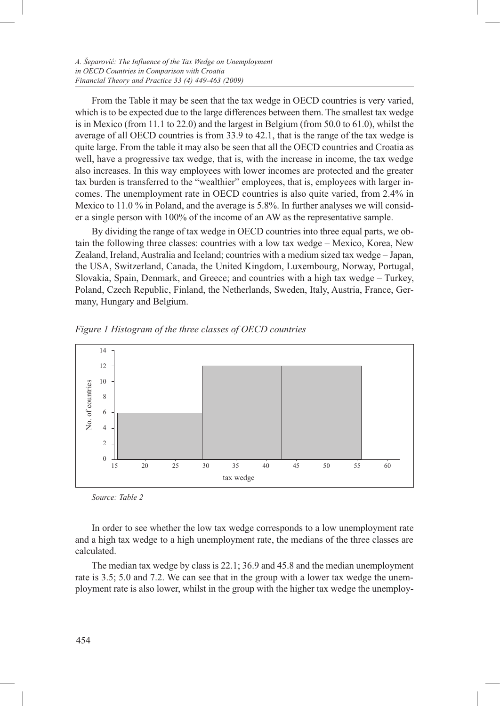From the Table it may be seen that the tax wedge in OECD countries is very varied, which is to be expected due to the large differences between them. The smallest tax wedge is in Mexico (from 11.1 to 22.0) and the largest in Belgium (from 50.0 to 61.0), whilst the average of all OECD countries is from 33.9 to 42.1, that is the range of the tax wedge is quite large. From the table it may also be seen that all the OECD countries and Croatia as well, have a progressive tax wedge, that is, with the increase in income, the tax wedge also increases. In this way employees with lower incomes are protected and the greater tax burden is transferred to the "wealthier" employees, that is, employees with larger incomes. The unemployment rate in OECD countries is also quite varied, from 2.4% in Mexico to  $11.0\%$  in Poland, and the average is 5.8%. In further analyses we will consider a single person with 100% of the income of an AW as the representative sample.

By dividing the range of tax wedge in OECD countries into three equal parts, we obtain the following three classes: countries with a low tax wedge – Mexico, Korea, New Zealand, Ireland, Australia and Iceland; countries with a medium sized tax wedge – Japan, the USA, Switzerland, Canada, the United Kingdom, Luxembourg, Norway, Portugal, Slovakia, Spain, Denmark, and Greece; and countries with a high tax wedge – Turkey, Poland, Czech Republic, Finland, the Netherlands, Sweden, Italy, Austria, France, Germany, Hungary and Belgium.



*Figure 1 Histogram of the three classes of OECD countries*

*Source: Table 2*

In order to see whether the low tax wedge corresponds to a low unemployment rate and a high tax wedge to a high unemployment rate, the medians of the three classes are calculated.

The median tax wedge by class is 22.1; 36.9 and 45.8 and the median unemployment rate is 3.5; 5.0 and 7.2. We can see that in the group with a lower tax wedge the unemployment rate is also lower, whilst in the group with the higher tax wedge the unemploy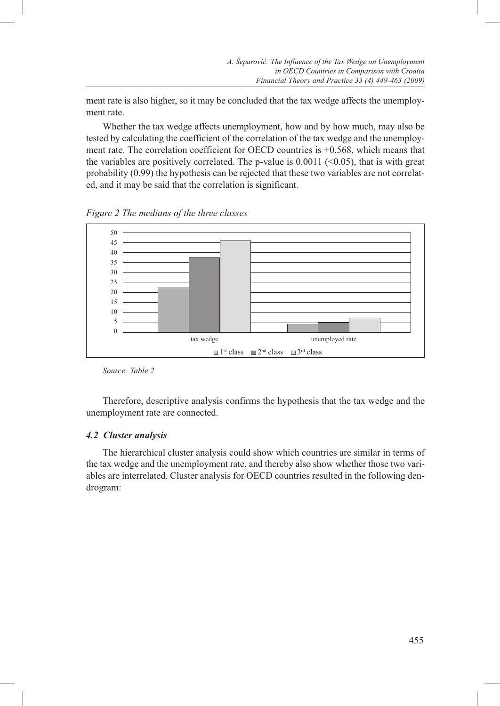ment rate is also higher, so it may be concluded that the tax wedge affects the unemployment rate.

Whether the tax wedge affects unemployment, how and by how much, may also be tested by calculating the coefficient of the correlation of the tax wedge and the unemployment rate. The correlation coefficient for OECD countries is  $+0.568$ , which means that the variables are positively correlated. The p-value is  $0.0011$  (<0.05), that is with great probability (0.99) the hypothesis can be rejected that these two variables are not correlated, and it may be said that the correlation is significant.

*Figure 2 The medians of the three classes*



*Source: Table 2*

Therefore, descriptive analysis confirms the hypothesis that the tax wedge and the unemployment rate are connected.

## *4.2 Cluster analysis*

The hierarchical cluster analysis could show which countries are similar in terms of the tax wedge and the unemployment rate, and thereby also show whether those two variables are interrelated. Cluster analysis for OECD countries resulted in the following dendrogram: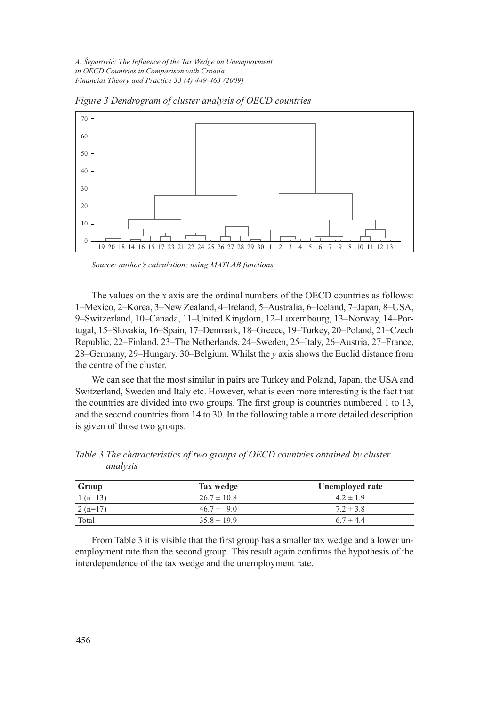

*Figure 3 Dendrogram of cluster analysis of OECD countries*

*Source: author's calculation; using MATLAB functions*

The values on the *x* axis are the ordinal numbers of the OECD countries as follows: 1–Mexico, 2–Korea, 3–New Zealand, 4–Ireland, 5–Australia, 6–Iceland, 7–Japan, 8–USA, 9–Switzerland, 10–Canada, 11–United Kingdom, 12–Luxembourg, 13–Norway, 14–Portugal, 15–Slovakia, 16–Spain, 17–Denmark, 18–Greece, 19–Turkey, 20–Poland, 21–Czech Republic, 22–Finland, 23–The Netherlands, 24–Sweden, 25–Italy, 26–Austria, 27–France, 28–Germany, 29–Hungary, 30–Belgium. Whilst the *y* axis shows the Euclid distance from the centre of the cluster.

We can see that the most similar in pairs are Turkey and Poland, Japan, the USA and Switzerland, Sweden and Italy etc. However, what is even more interesting is the fact that the countries are divided into two groups. The first group is countries numbered 1 to 13, and the second countries from 14 to 30. In the following table a more detailed description is given of those two groups.

| Group     | Tax wedge       | Unemployed rate |
|-----------|-----------------|-----------------|
| $1(n=13)$ | $26.7 \pm 10.8$ | $4.2 \pm 1.9$   |
| $2(n=17)$ | $46.7 \pm 9.0$  | $7.2 \pm 3.8$   |
| Total     | $35.8 \pm 19.9$ | $6.7 \pm 4.4$   |

*Table 3 The characteristics of two groups of OECD countries obtained by cluster analysis* 

From Table 3 it is visible that the first group has a smaller tax wedge and a lower unemployment rate than the second group. This result again confirms the hypothesis of the interdependence of the tax wedge and the unemployment rate.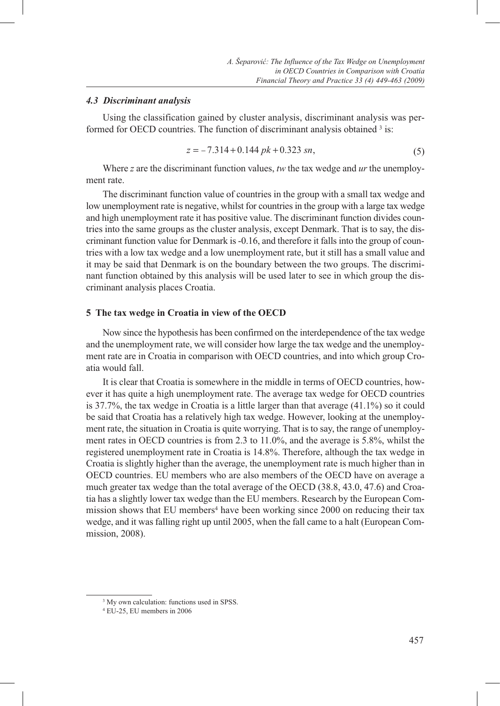#### *4.3 Discriminant analysis*

Using the classification gained by cluster analysis, discriminant analysis was performed for OECD countries. The function of discriminant analysis obtained 3 is:

$$
z = -7.314 + 0.144 \, pk + 0.323 \, sn,\tag{5}
$$

Where *z* are the discriminant function values, *tw* the tax wedge and *ur* the unemployment rate.

The discriminant function value of countries in the group with a small tax wedge and low unemployment rate is negative, whilst for countries in the group with a large tax wedge and high unemployment rate it has positive value. The discriminant function divides countries into the same groups as the cluster analysis, except Denmark. That is to say, the discriminant function value for Denmark is -0.16, and therefore it falls into the group of countries with a low tax wedge and a low unemployment rate, but it still has a small value and it may be said that Denmark is on the boundary between the two groups. The discriminant function obtained by this analysis will be used later to see in which group the discriminant analysis places Croatia.

#### **5 The tax wedge in Croatia in view of the OECD**

Now since the hypothesis has been confirmed on the interdependence of the tax wedge and the unemployment rate, we will consider how large the tax wedge and the unemployment rate are in Croatia in comparison with OECD countries, and into which group Croatia would fall.

It is clear that Croatia is somewhere in the middle in terms of OECD countries, however it has quite a high unemployment rate. The average tax wedge for OECD countries is 37.7%, the tax wedge in Croatia is a little larger than that average (41.1%) so it could be said that Croatia has a relatively high tax wedge. However, looking at the unemployment rate, the situation in Croatia is quite worrying. That is to say, the range of unemployment rates in OECD countries is from 2.3 to 11.0%, and the average is 5.8%, whilst the registered unemployment rate in Croatia is 14.8%. Therefore, although the tax wedge in Croatia is slightly higher than the average, the unemployment rate is much higher than in OECD countries. EU members who are also members of the OECD have on average a much greater tax wedge than the total average of the OECD (38.8, 43.0, 47.6) and Croatia has a slightly lower tax wedge than the EU members. Research by the European Commission shows that EU members<sup>4</sup> have been working since 2000 on reducing their tax wedge, and it was falling right up until 2005, when the fall came to a halt (European Commission, 2008).

<sup>&</sup>lt;sup>3</sup> My own calculation: functions used in SPSS.

<sup>4</sup> EU-25, EU members in 2006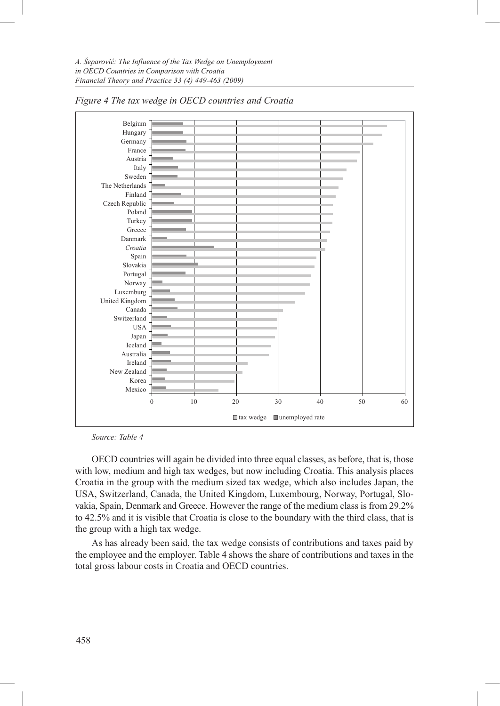

*Figure 4 The tax wedge in OECD countries and Croatia*

*Source: Table 4*

OECD countries will again be divided into three equal classes, as before, that is, those with low, medium and high tax wedges, but now including Croatia. This analysis places Croatia in the group with the medium sized tax wedge, which also includes Japan, the USA, Switzerland, Canada, the United Kingdom, Luxembourg, Norway, Portugal, Slovakia, Spain, Denmark and Greece. However the range of the medium class is from 29.2% to 42.5% and it is visible that Croatia is close to the boundary with the third class, that is the group with a high tax wedge.

As has already been said, the tax wedge consists of contributions and taxes paid by the employee and the employer. Table 4 shows the share of contributions and taxes in the total gross labour costs in Croatia and OECD countries.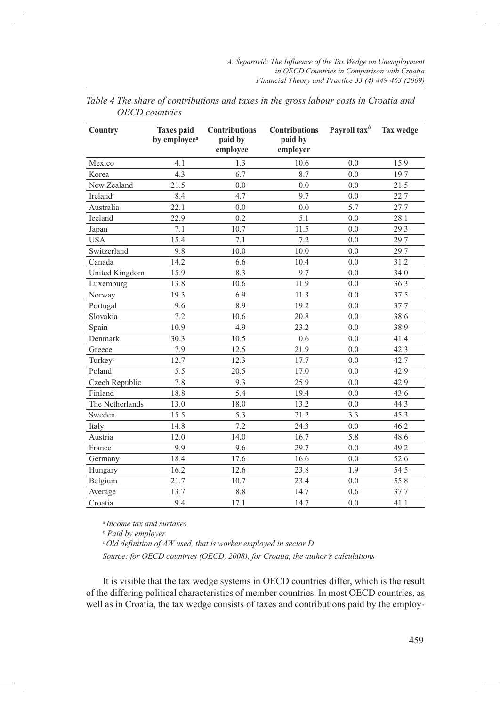| Country                           | <b>Taxes</b> paid<br>by employee <sup>a</sup> | <b>Contributions</b><br>paid by<br>employee | <b>Contributions</b><br>paid by<br>employer | Payroll tax $^b$ | <b>Tax wedge</b> |
|-----------------------------------|-----------------------------------------------|---------------------------------------------|---------------------------------------------|------------------|------------------|
| Mexico                            | 4.1                                           | 1.3                                         | 10.6                                        | 0.0              | 15.9             |
| Korea                             | 4.3                                           | 6.7                                         | 8.7                                         | 0.0              | 19.7             |
| New Zealand                       | 21.5                                          | 0.0                                         | 0.0                                         | 0.0              | 21.5             |
| Ireland <sup><math>c</math></sup> | 8.4                                           | 4.7                                         | 9.7                                         | 0.0              | 22.7             |
| Australia                         | 22.1                                          | 0.0                                         | 0.0                                         | 5.7              | 27.7             |
| <b>Iceland</b>                    | 22.9                                          | 0.2                                         | 5.1                                         | 0.0              | 28.1             |
| Japan                             | 7.1                                           | 10.7                                        | 11.5                                        | 0.0              | 29.3             |
| <b>USA</b>                        | 15.4                                          | 7.1                                         | 7.2                                         | 0.0              | 29.7             |
| Switzerland                       | 9.8                                           | 10.0                                        | 10.0                                        | 0.0              | 29.7             |
| Canada                            | 14.2                                          | 6.6                                         | 10.4                                        | 0.0              | 31.2             |
| United Kingdom                    | 15.9                                          | 8.3                                         | 9.7                                         | 0.0              | 34.0             |
| Luxemburg                         | 13.8                                          | 10.6                                        | 11.9                                        | 0.0              | 36.3             |
| Norway                            | 19.3                                          | 6.9                                         | 11.3                                        | 0.0              | 37.5             |
| Portugal                          | 9.6                                           | 8.9                                         | 19.2                                        | 0.0              | 37.7             |
| Slovakia                          | 7.2                                           | 10.6                                        | 20.8                                        | 0.0              | 38.6             |
| Spain                             | 10.9                                          | 4.9                                         | 23.2                                        | 0.0              | 38.9             |
| Denmark                           | 30.3                                          | 10.5                                        | 0.6                                         | 0.0              | 41.4             |
| Greece                            | 7.9                                           | 12.5                                        | 21.9                                        | 0.0              | 42.3             |
| Turkey $c$                        | 12.7                                          | 12.3                                        | 17.7                                        | 0.0              | 42.7             |
| Poland                            | 5.5                                           | 20.5                                        | 17.0                                        | 0.0              | 42.9             |
| Czech Republic                    | 7.8                                           | 9.3                                         | 25.9                                        | 0.0              | 42.9             |
| Finland                           | 18.8                                          | 5.4                                         | 19.4                                        | 0.0              | 43.6             |
| The Netherlands                   | 13.0                                          | 18.0                                        | 13.2                                        | 0.0              | 44.3             |
| Sweden                            | 15.5                                          | 5.3                                         | 21.2                                        | 3.3              | 45.3             |
| Italy                             | 14.8                                          | 7.2                                         | 24.3                                        | 0.0              | 46.2             |
| Austria                           | 12.0                                          | 14.0                                        | 16.7                                        | 5.8              | 48.6             |
| France                            | 9.9                                           | 9.6                                         | 29.7                                        | 0.0              | 49.2             |
| Germany                           | 18.4                                          | 17.6                                        | 16.6                                        | 0.0              | 52.6             |
| Hungary                           | 16.2                                          | 12.6                                        | 23.8                                        | 1.9              | 54.5             |
| Belgium                           | 21.7                                          | 10.7                                        | 23.4                                        | 0.0              | 55.8             |
| Average                           | 13.7                                          | 8.8                                         | 14.7                                        | 0.6              | 37.7             |
| Croatia                           | 9.4                                           | 17.1                                        | 14.7                                        | 0.0              | 41.1             |

*Table 4 The share of contributions and taxes in the gross labour costs in Croatia and OECD countries*

*a Income tax and surtaxes*

*b Paid by employer.*

*c Old definition of AW used, that is worker employed in sector D*

*Source: for OECD countries (OECD, 2008), for Croatia, the author's calculations*

It is visible that the tax wedge systems in OECD countries differ, which is the result of the differing political characteristics of member countries. In most OECD countries, as well as in Croatia, the tax wedge consists of taxes and contributions paid by the employ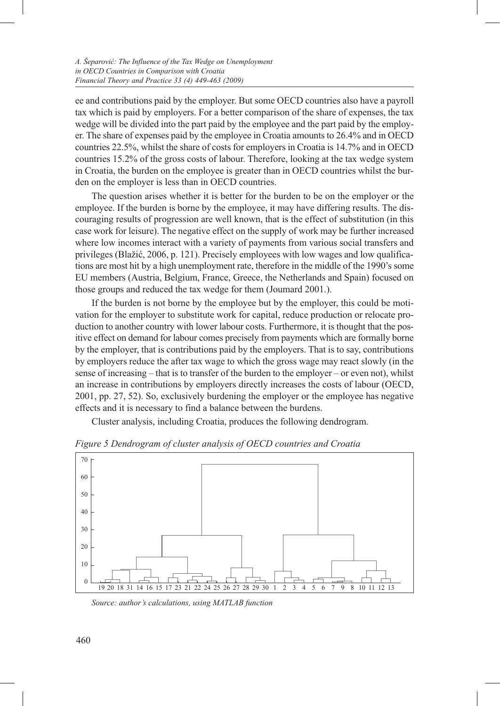ee and contributions paid by the employer. But some OECD countries also have a payroll tax which is paid by employers. For a better comparison of the share of expenses, the tax wedge will be divided into the part paid by the employee and the part paid by the employer. The share of expenses paid by the employee in Croatia amounts to 26.4% and in OECD countries 22.5%, whilst the share of costs for employers in Croatia is 14.7% and in OECD countries 15.2% of the gross costs of labour. Therefore, looking at the tax wedge system in Croatia, the burden on the employee is greater than in OECD countries whilst the burden on the employer is less than in OECD countries.

The question arises whether it is better for the burden to be on the employer or the employee. If the burden is borne by the employee, it may have differing results. The discouraging results of progression are well known, that is the effect of substitution (in this case work for leisure). The negative effect on the supply of work may be further increased where low incomes interact with a variety of payments from various social transfers and privileges (Blažić, 2006, p. 121). Precisely employees with low wages and low qualifications are most hit by a high unemployment rate, therefore in the middle of the 1990's some EU members (Austria, Belgium, France, Greece, the Netherlands and Spain) focused on those groups and reduced the tax wedge for them (Joumard 2001.).

If the burden is not borne by the employee but by the employer, this could be motivation for the employer to substitute work for capital, reduce production or relocate production to another country with lower labour costs. Furthermore, it is thought that the positive effect on demand for labour comes precisely from payments which are formally borne by the employer, that is contributions paid by the employers. That is to say, contributions by employers reduce the after tax wage to which the gross wage may react slowly (in the sense of increasing – that is to transfer of the burden to the employer – or even not), whilst an increase in contributions by employers directly increases the costs of labour (OECD, 2001, pp. 27, 52). So, exclusively burdening the employer or the employee has negative effects and it is necessary to find a balance between the burdens.

Cluster analysis, including Croatia, produces the following dendrogram.



*Figure 5 Dendrogram of cluster analysis of OECD countries and Croatia*

*Source: author's calculations, using MATLAB function*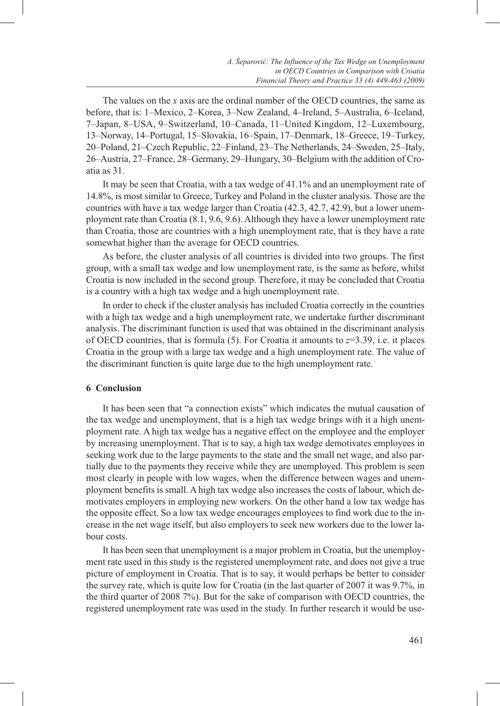The values on the *x* axis are the ordinal number of the OECD countries, the same as before, that is: 1–Mexico, 2–Korea, 3–New Zealand, 4–Ireland, 5–Australia, 6–Iceland, 7–Japan, 8–USA, 9–Switzerland, 10–Canada, 11–United Kingdom, 12–Luxembourg, 13–Norway, 14–Portugal, 15–Slovakia, 16–Spain, 17–Denmark, 18–Greece, 19–Turkey, 20–Poland, 21–Czech Republic, 22–Finland, 23–The Netherlands, 24–Sweden, 25–Italy, 26–Austria, 27–France, 28–Germany, 29–Hungary, 30–Belgium with the addition of Croatia as 31.

It may be seen that Croatia, with a tax wedge of 41.1% and an unemployment rate of 14.8%, is most similar to Greece, Turkey and Poland in the cluster analysis. Those are the countries with have a tax wedge larger than Croatia (42.3, 42.7, 42.9), but a lower unemployment rate than Croatia (8.1, 9.6, 9.6). Although they have a lower unemployment rate than Croatia, those are countries with a high unemployment rate, that is they have a rate somewhat higher than the average for OECD countries.

As before, the cluster analysis of all countries is divided into two groups. The first group, with a small tax wedge and low unemployment rate, is the same as before, whilst Croatia is now included in the second group. Therefore, it may be concluded that Croatia is a country with a high tax wedge and a high unemployment rate.

In order to check if the cluster analysis has included Croatia correctly in the countries with a high tax wedge and a high unemployment rate, we undertake further discriminant analysis. The discriminant function is used that was obtained in the discriminant analysis of OECD countries, that is formula (5). For Croatia it amounts to  $z=3.39$ , i.e. it places Croatia in the group with a large tax wedge and a high unemployment rate. The value of the discriminant function is quite large due to the high unemployment rate.

### **6 Conclusion**

It has been seen that "a connection exists" which indicates the mutual causation of the tax wedge and unemployment, that is a high tax wedge brings with it a high unemployment rate. A high tax wedge has a negative effect on the employee and the employer by increasing unemployment. That is to say, a high tax wedge demotivates employees in seeking work due to the large payments to the state and the small net wage, and also partially due to the payments they receive while they are unemployed. This problem is seen most clearly in people with low wages, when the difference between wages and unemployment benefits is small. A high tax wedge also increases the costs of labour, which demotivates employers in employing new workers. On the other hand a low tax wedge has the opposite effect. So a low tax wedge encourages employees to find work due to the increase in the net wage itself, but also employers to seek new workers due to the lower labour costs.

It has been seen that unemployment is a major problem in Croatia, but the unemployment rate used in this study is the registered unemployment rate, and does not give a true picture of employment in Croatia. That is to say, it would perhaps be better to consider the survey rate, which is quite low for Croatia (in the last quarter of 2007 it was 9.7%, in the third quarter of 2008 7%). But for the sake of comparison with OECD countries, the registered unemployment rate was used in the study. In further research it would be use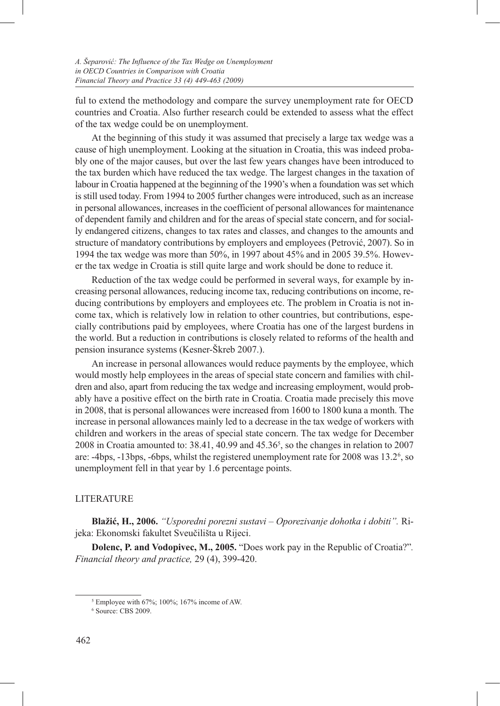ful to extend the methodology and compare the survey unemployment rate for OECD countries and Croatia. Also further research could be extended to assess what the effect of the tax wedge could be on unemployment.

At the beginning of this study it was assumed that precisely a large tax wedge was a cause of high unemployment. Looking at the situation in Croatia, this was indeed probably one of the major causes, but over the last few years changes have been introduced to the tax burden which have reduced the tax wedge. The largest changes in the taxation of labour in Croatia happened at the beginning of the 1990's when a foundation was set which is still used today. From 1994 to 2005 further changes were introduced, such as an increase in personal allowances, increases in the coefficient of personal allowances for maintenance of dependent family and children and for the areas of special state concern, and for socially endangered citizens, changes to tax rates and classes, and changes to the amounts and structure of mandatory contributions by employers and employees (Petrović, 2007). So in 1994 the tax wedge was more than 50%, in 1997 about 45% and in 2005 39.5%. However the tax wedge in Croatia is still quite large and work should be done to reduce it.

Reduction of the tax wedge could be performed in several ways, for example by increasing personal allowances, reducing income tax, reducing contributions on income, reducing contributions by employers and employees etc. The problem in Croatia is not income tax, which is relatively low in relation to other countries, but contributions, especially contributions paid by employees, where Croatia has one of the largest burdens in the world. But a reduction in contributions is closely related to reforms of the health and pension insurance systems (Kesner-Škreb 2007.).

An increase in personal allowances would reduce payments by the employee, which would mostly help employees in the areas of special state concern and families with children and also, apart from reducing the tax wedge and increasing employment, would probably have a positive effect on the birth rate in Croatia. Croatia made precisely this move in 2008, that is personal allowances were increased from 1600 to 1800 kuna a month. The increase in personal allowances mainly led to a decrease in the tax wedge of workers with children and workers in the areas of special state concern. The tax wedge for December 2008 in Croatia amounted to:  $38.41$ ,  $40.99$  and  $45.36<sup>5</sup>$ , so the changes in relation to  $2007$ are: -4bps, -13bps, -6bps, whilst the registered unemployment rate for 2008 was 13.2<sup>6</sup>, so unemployment fell in that year by 1.6 percentage points.

### LITERATURE

**Blažić, H., 2006.** *"Usporedni porezni sustavi – Oporezivanje dohotka i dobiti".* Rijeka: Ekonomski fakultet Sveučilišta u Rijeci.

**Dolenc, P. and Vodopivec, M., 2005.** "Does work pay in the Republic of Croatia?"*. Financial theory and practice,* 29 (4), 399-420.

<sup>5</sup> Employee with 67%; 100%; 167% income of AW.

<sup>6</sup> Source: CBS 2009.